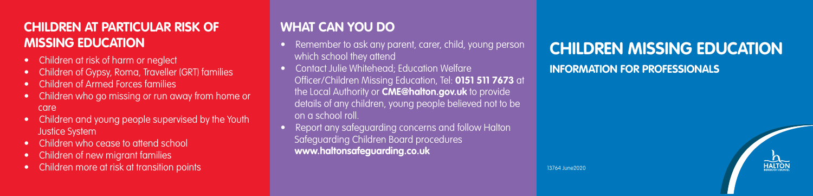## **CHILDREN AT PARTICULAR RISK OF MISSING EDUCATION**

- Children at risk of harm or neglect
- Children of Gypsy, Roma, Traveller (GRT) families
- Children of Armed Forces families
- Children who go missing or run away from home or care
- Children and young people supervised by the Youth Justice System
- Children who cease to attend school
- Children of new migrant families
- Children more at risk at transition points

## **WHAT CAN YOU DO**

- Remember to ask any parent, carer, child, young person which school they attend
- Contact Julie Whitehead; Education Welfare Officer/Children Missing Education, Tel: **0151 511 7673** at the Local Authority or **CME@halton.gov.uk** to provide details of any children, young people believed not to be on a school roll.
- Report any safeguarding concerns and follow Halton Safeguarding Children Board procedures **www.haltonsafeguarding.co.uk**

# **CHILDREN MISSING EDUCATION**

#### **INFORMATION FOR PROFESSIONALS**



13764 June2020